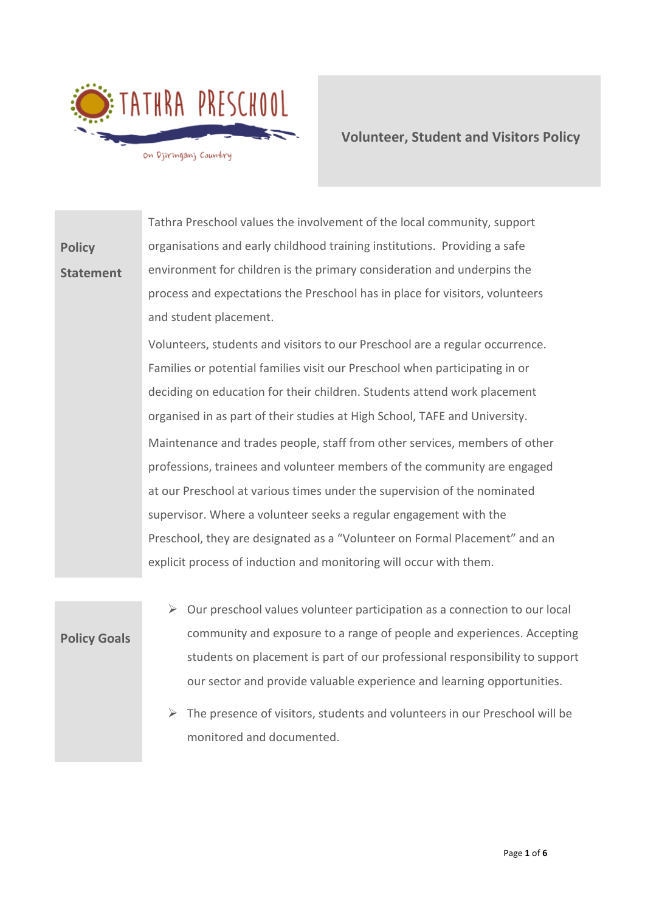

**Volunteer, Student and Visitors Policy** 

**Policy Statement** Tathra Preschool values the involvement of the local community, support organisations and early childhood training institutions. Providing a safe environment for children is the primary consideration and underpins the process and expectations the Preschool has in place for visitors, volunteers and student placement. Volunteers, students and visitors to our Preschool are a regular occurrence. Families or potential families visit our Preschool when participating in or deciding on education for their children. Students attend work placement organised in as part of their studies at High School, TAFE and University. Maintenance and trades people, staff from other services, members of other professions, trainees and volunteer members of the community are engaged at our Preschool at various times under the supervision of the nominated supervisor. Where a volunteer seeks a regular engagement with the Preschool, they are designated as a "Volunteer on Formal Placement" and an explicit process of induction and monitoring will occur with them.

- **Policy Goals**
- $\triangleright$  Our preschool values volunteer participation as a connection to our local community and exposure to a range of people and experiences. Accepting students on placement is part of our professional responsibility to support our sector and provide valuable experience and learning opportunities.
- $\triangleright$  The presence of visitors, students and volunteers in our Preschool will be monitored and documented.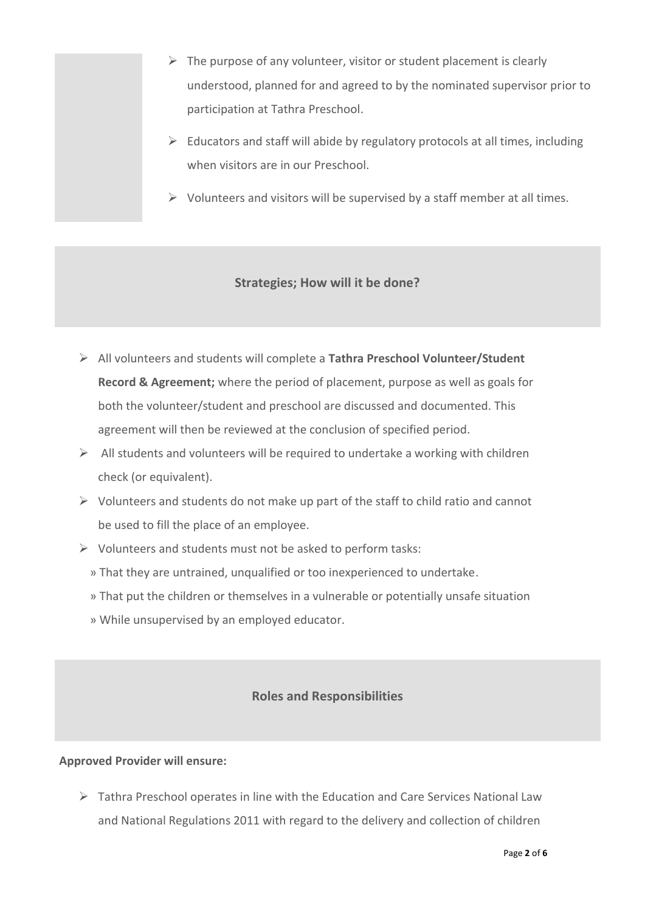- $\triangleright$  The purpose of any volunteer, visitor or student placement is clearly understood, planned for and agreed to by the nominated supervisor prior to participation at Tathra Preschool.
- $\triangleright$  Educators and staff will abide by regulatory protocols at all times, including when visitors are in our Preschool.
- $\triangleright$  Volunteers and visitors will be supervised by a staff member at all times.

## **Strategies; How will it be done?**

- ➢ All volunteers and students will complete a **Tathra Preschool Volunteer/Student Record & Agreement;** where the period of placement, purpose as well as goals for both the volunteer/student and preschool are discussed and documented. This agreement will then be reviewed at the conclusion of specified period.
- $\triangleright$  All students and volunteers will be required to undertake a working with children check (or equivalent).
- $\triangleright$  Volunteers and students do not make up part of the staff to child ratio and cannot be used to fill the place of an employee.
- ➢ Volunteers and students must not be asked to perform tasks:
	- » That they are untrained, unqualified or too inexperienced to undertake.
	- » That put the children or themselves in a vulnerable or potentially unsafe situation
	- » While unsupervised by an employed educator.

# **Roles and Responsibilities**

#### **Approved Provider will ensure:**

 $\triangleright$  Tathra Preschool operates in line with the Education and Care Services National Law and National Regulations 2011 with regard to the delivery and collection of children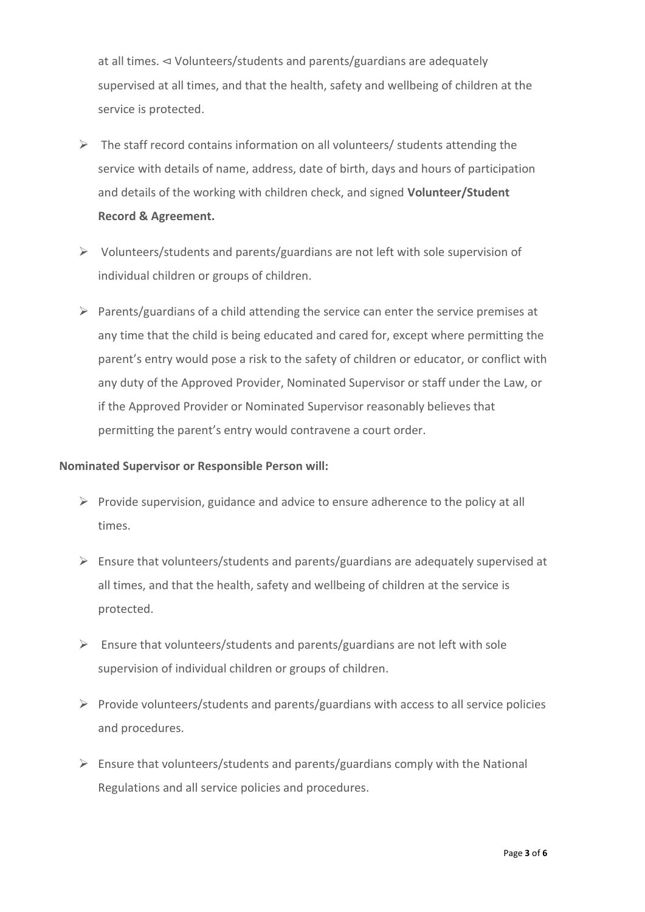at all times. ⊲ Volunteers/students and parents/guardians are adequately supervised at all times, and that the health, safety and wellbeing of children at the service is protected.

- $\triangleright$  The staff record contains information on all volunteers/ students attending the service with details of name, address, date of birth, days and hours of participation and details of the working with children check, and signed **Volunteer/Student Record & Agreement.**
- $\triangleright$  Volunteers/students and parents/guardians are not left with sole supervision of individual children or groups of children.
- $\triangleright$  Parents/guardians of a child attending the service can enter the service premises at any time that the child is being educated and cared for, except where permitting the parent's entry would pose a risk to the safety of children or educator, or conflict with any duty of the Approved Provider, Nominated Supervisor or staff under the Law, or if the Approved Provider or Nominated Supervisor reasonably believes that permitting the parent's entry would contravene a court order.

#### **Nominated Supervisor or Responsible Person will:**

- $\triangleright$  Provide supervision, guidance and advice to ensure adherence to the policy at all times.
- $\triangleright$  Ensure that volunteers/students and parents/guardians are adequately supervised at all times, and that the health, safety and wellbeing of children at the service is protected.
- $\triangleright$  Ensure that volunteers/students and parents/guardians are not left with sole supervision of individual children or groups of children.
- ➢ Provide volunteers/students and parents/guardians with access to all service policies and procedures.
- $\triangleright$  Ensure that volunteers/students and parents/guardians comply with the National Regulations and all service policies and procedures.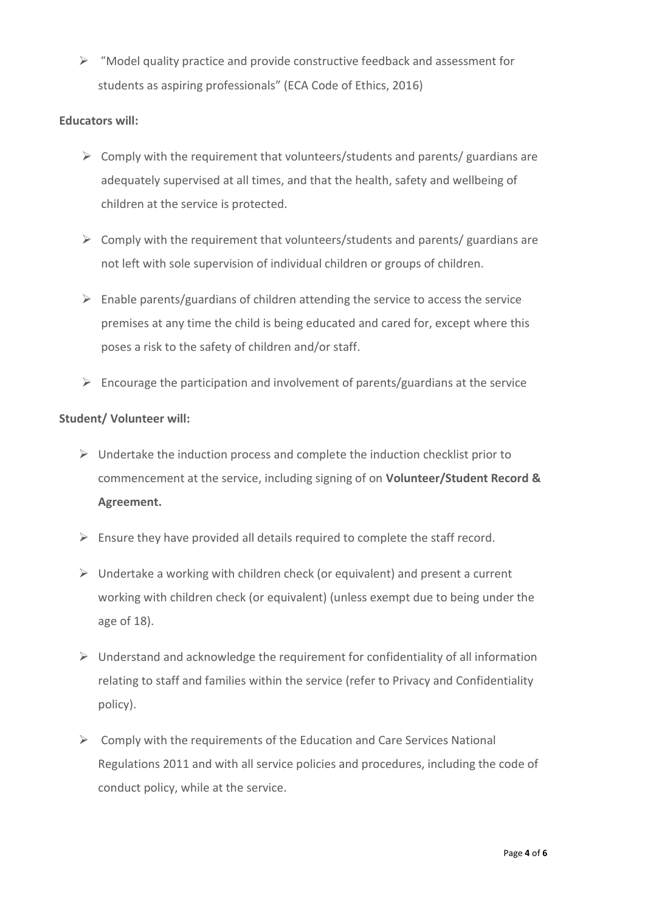➢ "Model quality practice and provide constructive feedback and assessment for students as aspiring professionals" (ECA Code of Ethics, 2016)

#### **Educators will:**

- $\triangleright$  Comply with the requirement that volunteers/students and parents/ guardians are adequately supervised at all times, and that the health, safety and wellbeing of children at the service is protected.
- $\triangleright$  Comply with the requirement that volunteers/students and parents/ guardians are not left with sole supervision of individual children or groups of children.
- $\triangleright$  Enable parents/guardians of children attending the service to access the service premises at any time the child is being educated and cared for, except where this poses a risk to the safety of children and/or staff.
- $\triangleright$  Encourage the participation and involvement of parents/guardians at the service

### **Student/ Volunteer will:**

- $\triangleright$  Undertake the induction process and complete the induction checklist prior to commencement at the service, including signing of on **Volunteer/Student Record & Agreement.**
- $\triangleright$  Ensure they have provided all details required to complete the staff record.
- $\triangleright$  Undertake a working with children check (or equivalent) and present a current working with children check (or equivalent) (unless exempt due to being under the age of 18).
- $\triangleright$  Understand and acknowledge the requirement for confidentiality of all information relating to staff and families within the service (refer to Privacy and Confidentiality policy).
- $\triangleright$  Comply with the requirements of the Education and Care Services National Regulations 2011 and with all service policies and procedures, including the code of conduct policy, while at the service.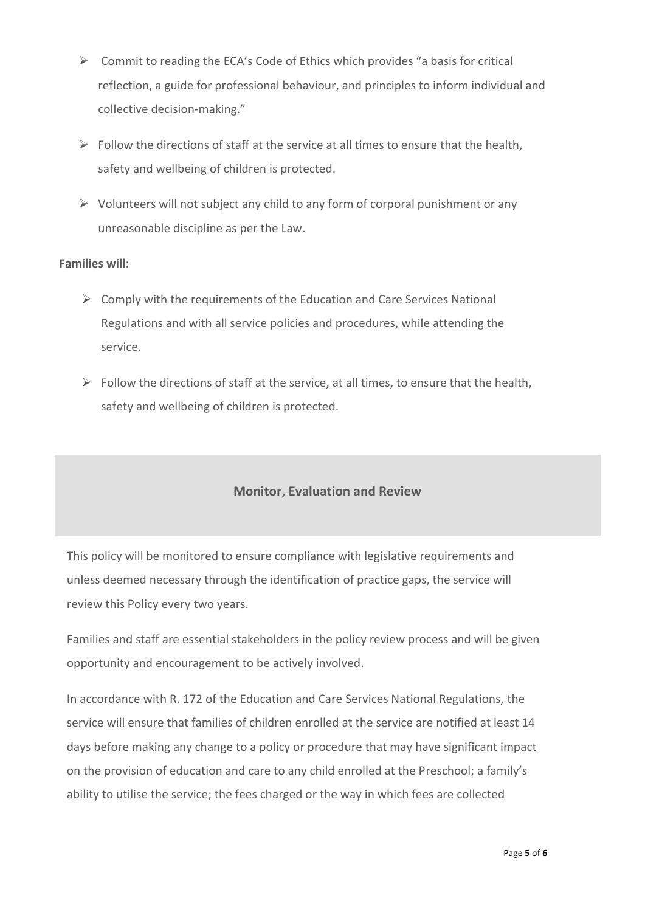- $\triangleright$  Commit to reading the ECA's Code of Ethics which provides "a basis for critical reflection, a guide for professional behaviour, and principles to inform individual and collective decision-making."
- $\triangleright$  Follow the directions of staff at the service at all times to ensure that the health, safety and wellbeing of children is protected.
- $\triangleright$  Volunteers will not subject any child to any form of corporal punishment or any unreasonable discipline as per the Law.

### **Families will:**

- $\triangleright$  Comply with the requirements of the Education and Care Services National Regulations and with all service policies and procedures, while attending the service.
- $\triangleright$  Follow the directions of staff at the service, at all times, to ensure that the health, safety and wellbeing of children is protected.

# **Monitor, Evaluation and Review**

This policy will be monitored to ensure compliance with legislative requirements and unless deemed necessary through the identification of practice gaps, the service will review this Policy every two years.

Families and staff are essential stakeholders in the policy review process and will be given opportunity and encouragement to be actively involved.

In accordance with R. 172 of the Education and Care Services National Regulations, the service will ensure that families of children enrolled at the service are notified at least 14 days before making any change to a policy or procedure that may have significant impact on the provision of education and care to any child enrolled at the Preschool; a family's ability to utilise the service; the fees charged or the way in which fees are collected